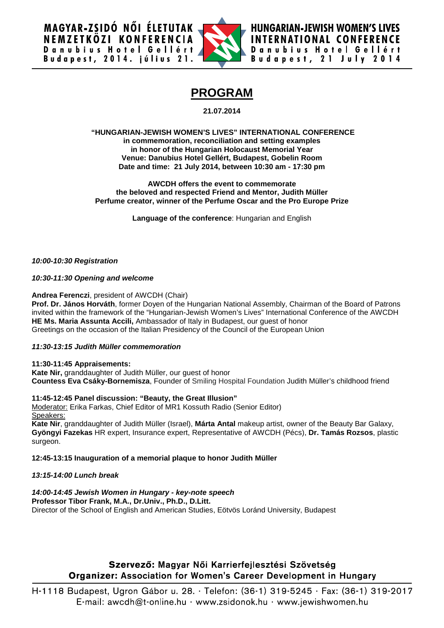**MAGYAR-ZSIDÓ NŐI ÉLETUTAK** NEMZETKÖZI KONFERENCIA Danubius Hotel Gellért<br>Budapest, 2014. július 21.



**HUNGARIAN-JEWISH WOMEN'S LIVES INTERNATIONAL CONFERENCE** Danubius Hotel Gellért Budapest, 21 July 2014

# **PROGRAM**

**21.07.2014**

#### **"HUNGARIAN-JEWISH WOMEN'S LIVES" INTERNATIONAL CONFERENCE in commemoration, reconciliation and setting examples in honor of the Hungarian Holocaust Memorial Year Venue: Danubius Hotel Gellért, Budapest, Gobelin Room Date and time: 21 July 2014, between 10:30 am - 17:30 pm**

#### **AWCDH offers the event to commemorate the beloved and respected Friend and Mentor, Judith Müller Perfume creator, winner of the Perfume Oscar and the Pro Europe Prize**

**Language of the conference**: Hungarian and English

*10:00-10:30 Registration*

*10:30-11:30 Opening and welcome*

**Andrea Ferenczi**, president of AWCDH (Chair)

**Prof. Dr. János Horváth**, former Doyen of the Hungarian National Assembly, Chairman of the Board of Patrons invited within the framework of the "Hungarian-Jewish Women's Lives" International Conference of the AWCDH **HE Ms. Maria Assunta Accili,** Ambassador of Italy in Budapest, our guest of honor Greetings on the occasion of the Italian Presidency of the Council of the European Union

*11:30-13:15 Judith Müller commemoration*

**11:30-11:45 Appraisements: Kate Nir,** granddaughter of Judith Müller, our guest of honor **Countess Eva Csáky-Bornemisza**, Founder of Smiling Hospital Foundation Judith Müller's childhood friend

**11:45-12:45 Panel discussion: "Beauty, the Great Illusion"** Moderator: Erika Farkas, Chief Editor of MR1 Kossuth Radio (Senior Editor) Speakers:

**Kate Nir**, granddaughter of Judith Müller (Israel), **Márta Antal** makeup artist, owner of the Beauty Bar Galaxy, **Gyöngyi Fazekas** HR expert, Insurance expert, Representative of AWCDH (Pécs), **Dr. Tamás Rozsos**, plastic surgeon.

# **12:45-13:15 Inauguration of a memorial plaque to honor Judith Müller**

# *13:15-14:00 Lunch break*

*14:00-14:45 Jewish Women in Hungary - key-note speech* **Professor Tibor Frank, M.A., Dr.Univ., Ph.D., D.Litt.** Director of the School of English and American Studies, Eötvös Loránd University, Budapest

# Szervező: Magyar Női Karrierfejlesztési Szövetség **Organizer: Association for Women's Career Development in Hungary**

H-1118 Budapest, Ugron Gábor u. 28. · Telefon: (36-1) 319-5245 · Fax: (36-1) 319-2017 E-mail:  $awcdh@t$ -online.hu · www.zsidonok.hu · www.jewishwomen.hu